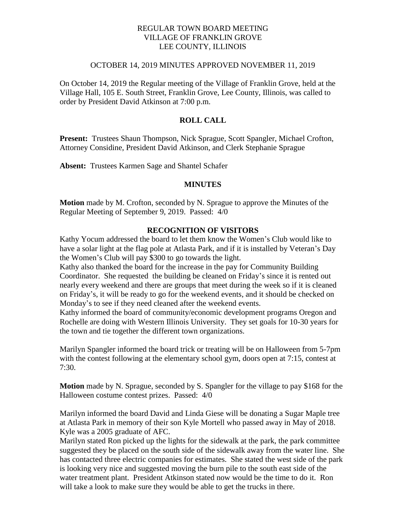## REGULAR TOWN BOARD MEETING VILLAGE OF FRANKLIN GROVE LEE COUNTY, ILLINOIS

#### OCTOBER 14, 2019 MINUTES APPROVED NOVEMBER 11, 2019

On October 14, 2019 the Regular meeting of the Village of Franklin Grove, held at the Village Hall, 105 E. South Street, Franklin Grove, Lee County, Illinois, was called to order by President David Atkinson at 7:00 p.m.

## **ROLL CALL**

**Present:** Trustees Shaun Thompson, Nick Sprague, Scott Spangler, Michael Crofton, Attorney Considine, President David Atkinson, and Clerk Stephanie Sprague

**Absent:** Trustees Karmen Sage and Shantel Schafer

#### **MINUTES**

**Motion** made by M. Crofton, seconded by N. Sprague to approve the Minutes of the Regular Meeting of September 9, 2019. Passed: 4/0

## **RECOGNITION OF VISITORS**

Kathy Yocum addressed the board to let them know the Women's Club would like to have a solar light at the flag pole at Atlasta Park, and if it is installed by Veteran's Day the Women's Club will pay \$300 to go towards the light.

Kathy also thanked the board for the increase in the pay for Community Building Coordinator. She requested the building be cleaned on Friday's since it is rented out nearly every weekend and there are groups that meet during the week so if it is cleaned on Friday's, it will be ready to go for the weekend events, and it should be checked on Monday's to see if they need cleaned after the weekend events.

Kathy informed the board of community/economic development programs Oregon and Rochelle are doing with Western Illinois University. They set goals for 10-30 years for the town and tie together the different town organizations.

Marilyn Spangler informed the board trick or treating will be on Halloween from 5-7pm with the contest following at the elementary school gym, doors open at 7:15, contest at 7:30.

**Motion** made by N. Sprague, seconded by S. Spangler for the village to pay \$168 for the Halloween costume contest prizes. Passed: 4/0

Marilyn informed the board David and Linda Giese will be donating a Sugar Maple tree at Atlasta Park in memory of their son Kyle Mortell who passed away in May of 2018. Kyle was a 2005 graduate of AFC.

Marilyn stated Ron picked up the lights for the sidewalk at the park, the park committee suggested they be placed on the south side of the sidewalk away from the water line. She has contacted three electric companies for estimates. She stated the west side of the park is looking very nice and suggested moving the burn pile to the south east side of the water treatment plant. President Atkinson stated now would be the time to do it. Ron will take a look to make sure they would be able to get the trucks in there.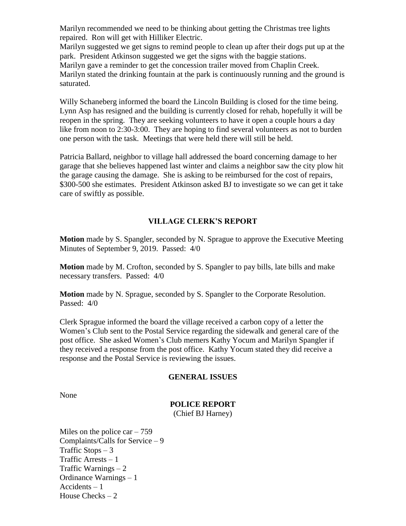Marilyn recommended we need to be thinking about getting the Christmas tree lights repaired. Ron will get with Hilliker Electric.

Marilyn suggested we get signs to remind people to clean up after their dogs put up at the park. President Atkinson suggested we get the signs with the baggie stations. Marilyn gave a reminder to get the concession trailer moved from Chaplin Creek. Marilyn stated the drinking fountain at the park is continuously running and the ground is saturated.

Willy Schaneberg informed the board the Lincoln Building is closed for the time being. Lynn Asp has resigned and the building is currently closed for rehab, hopefully it will be reopen in the spring. They are seeking volunteers to have it open a couple hours a day like from noon to 2:30-3:00. They are hoping to find several volunteers as not to burden one person with the task. Meetings that were held there will still be held.

Patricia Ballard, neighbor to village hall addressed the board concerning damage to her garage that she believes happened last winter and claims a neighbor saw the city plow hit the garage causing the damage. She is asking to be reimbursed for the cost of repairs, \$300-500 she estimates. President Atkinson asked BJ to investigate so we can get it take care of swiftly as possible.

# **VILLAGE CLERK'S REPORT**

**Motion** made by S. Spangler, seconded by N. Sprague to approve the Executive Meeting Minutes of September 9, 2019. Passed: 4/0

**Motion** made by M. Crofton, seconded by S. Spangler to pay bills, late bills and make necessary transfers. Passed: 4/0

**Motion** made by N. Sprague, seconded by S. Spangler to the Corporate Resolution. Passed: 4/0

Clerk Sprague informed the board the village received a carbon copy of a letter the Women's Club sent to the Postal Service regarding the sidewalk and general care of the post office. She asked Women's Club memers Kathy Yocum and Marilyn Spangler if they received a response from the post office. Kathy Yocum stated they did receive a response and the Postal Service is reviewing the issues.

## **GENERAL ISSUES**

None

## **POLICE REPORT**

(Chief BJ Harney)

Miles on the police  $car - 759$ Complaints/Calls for Service – 9 Traffic Stops  $-3$ Traffic Arrests – 1 Traffic Warnings  $-2$ Ordinance Warnings – 1 Accidents – 1 House Checks  $-2$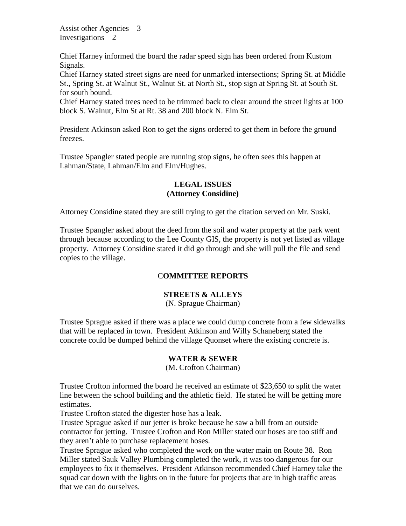Assist other Agencies  $-3$ Investigations  $-2$ 

Chief Harney informed the board the radar speed sign has been ordered from Kustom Signals.

Chief Harney stated street signs are need for unmarked intersections; Spring St. at Middle St., Spring St. at Walnut St., Walnut St. at North St., stop sign at Spring St. at South St. for south bound.

Chief Harney stated trees need to be trimmed back to clear around the street lights at 100 block S. Walnut, Elm St at Rt. 38 and 200 block N. Elm St.

President Atkinson asked Ron to get the signs ordered to get them in before the ground freezes.

Trustee Spangler stated people are running stop signs, he often sees this happen at Lahman/State, Lahman/Elm and Elm/Hughes.

# **LEGAL ISSUES (Attorney Considine)**

Attorney Considine stated they are still trying to get the citation served on Mr. Suski.

Trustee Spangler asked about the deed from the soil and water property at the park went through because according to the Lee County GIS, the property is not yet listed as village property. Attorney Considine stated it did go through and she will pull the file and send copies to the village.

# C**OMMITTEE REPORTS**

# **STREETS & ALLEYS**

(N. Sprague Chairman)

Trustee Sprague asked if there was a place we could dump concrete from a few sidewalks that will be replaced in town. President Atkinson and Willy Schaneberg stated the concrete could be dumped behind the village Quonset where the existing concrete is.

# **WATER & SEWER**

(M. Crofton Chairman)

Trustee Crofton informed the board he received an estimate of \$23,650 to split the water line between the school building and the athletic field. He stated he will be getting more estimates.

Trustee Crofton stated the digester hose has a leak.

Trustee Sprague asked if our jetter is broke because he saw a bill from an outside contractor for jetting. Trustee Crofton and Ron Miller stated our hoses are too stiff and they aren't able to purchase replacement hoses.

Trustee Sprague asked who completed the work on the water main on Route 38. Ron Miller stated Sauk Valley Plumbing completed the work, it was too dangerous for our employees to fix it themselves. President Atkinson recommended Chief Harney take the squad car down with the lights on in the future for projects that are in high traffic areas that we can do ourselves.